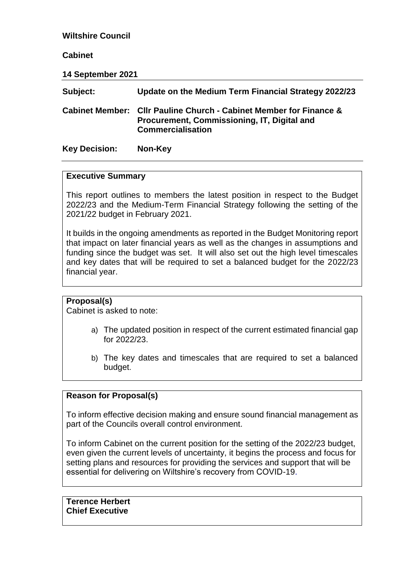### **Wiltshire Council**

#### **Cabinet**

**14 September 2021 Subject: Update on the Medium Term Financial Strategy 2022/23 Cabinet Member: Cllr Pauline Church - Cabinet Member for Finance & Procurement, Commissioning, IT, Digital and Commercialisation Key Decision: Non-Key**

#### **Executive Summary**

This report outlines to members the latest position in respect to the Budget 2022/23 and the Medium-Term Financial Strategy following the setting of the 2021/22 budget in February 2021.

It builds in the ongoing amendments as reported in the Budget Monitoring report that impact on later financial years as well as the changes in assumptions and funding since the budget was set. It will also set out the high level timescales and key dates that will be required to set a balanced budget for the 2022/23 financial year.

### **Proposal(s)**

Cabinet is asked to note:

- a) The updated position in respect of the current estimated financial gap for 2022/23.
- b) The key dates and timescales that are required to set a balanced budget.

### **Reason for Proposal(s)**

To inform effective decision making and ensure sound financial management as part of the Councils overall control environment.

To inform Cabinet on the current position for the setting of the 2022/23 budget, even given the current levels of uncertainty, it begins the process and focus for setting plans and resources for providing the services and support that will be essential for delivering on Wiltshire's recovery from COVID-19.

**Terence Herbert Chief Executive**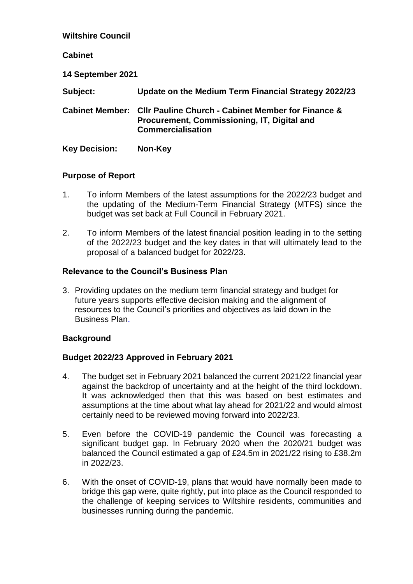| <b>Wiltshire Council</b> |                                                                                                                                          |
|--------------------------|------------------------------------------------------------------------------------------------------------------------------------------|
| <b>Cabinet</b>           |                                                                                                                                          |
| 14 September 2021        |                                                                                                                                          |
| Subject:                 | Update on the Medium Term Financial Strategy 2022/23                                                                                     |
| <b>Cabinet Member:</b>   | <b>CIIr Pauline Church - Cabinet Member for Finance &amp;</b><br>Procurement, Commissioning, IT, Digital and<br><b>Commercialisation</b> |
| <b>Key Decision:</b>     | Non-Key                                                                                                                                  |

#### **Purpose of Report**

- 1. To inform Members of the latest assumptions for the 2022/23 budget and the updating of the Medium-Term Financial Strategy (MTFS) since the budget was set back at Full Council in February 2021.
- 2. To inform Members of the latest financial position leading in to the setting of the 2022/23 budget and the key dates in that will ultimately lead to the proposal of a balanced budget for 2022/23.

### **Relevance to the Council's Business Plan**

3. Providing updates on the medium term financial strategy and budget for future years supports effective decision making and the alignment of resources to the Council's priorities and objectives as laid down in the Business Plan.

### **Background**

### **Budget 2022/23 Approved in February 2021**

- 4. The budget set in February 2021 balanced the current 2021/22 financial year against the backdrop of uncertainty and at the height of the third lockdown. It was acknowledged then that this was based on best estimates and assumptions at the time about what lay ahead for 2021/22 and would almost certainly need to be reviewed moving forward into 2022/23.
- 5. Even before the COVID-19 pandemic the Council was forecasting a significant budget gap. In February 2020 when the 2020/21 budget was balanced the Council estimated a gap of £24.5m in 2021/22 rising to £38.2m in 2022/23.
- 6. With the onset of COVID-19, plans that would have normally been made to bridge this gap were, quite rightly, put into place as the Council responded to the challenge of keeping services to Wiltshire residents, communities and businesses running during the pandemic.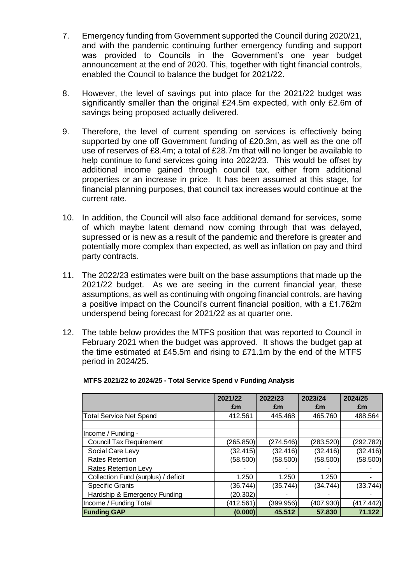- 7. Emergency funding from Government supported the Council during 2020/21, and with the pandemic continuing further emergency funding and support was provided to Councils in the Government's one year budget announcement at the end of 2020. This, together with tight financial controls, enabled the Council to balance the budget for 2021/22.
- 8. However, the level of savings put into place for the 2021/22 budget was significantly smaller than the original £24.5m expected, with only £2.6m of savings being proposed actually delivered.
- 9. Therefore, the level of current spending on services is effectively being supported by one off Government funding of £20.3m, as well as the one off use of reserves of £8.4m; a total of £28.7m that will no longer be available to help continue to fund services going into 2022/23. This would be offset by additional income gained through council tax, either from additional properties or an increase in price. It has been assumed at this stage, for financial planning purposes, that council tax increases would continue at the current rate.
- 10. In addition, the Council will also face additional demand for services, some of which maybe latent demand now coming through that was delayed, supressed or is new as a result of the pandemic and therefore is greater and potentially more complex than expected, as well as inflation on pay and third party contracts.
- 11. The 2022/23 estimates were built on the base assumptions that made up the 2021/22 budget. As we are seeing in the current financial year, these assumptions, as well as continuing with ongoing financial controls, are having a positive impact on the Council's current financial position, with a £1.762m underspend being forecast for 2021/22 as at quarter one.
- 12. The table below provides the MTFS position that was reported to Council in February 2021 when the budget was approved. It shows the budget gap at the time estimated at £45.5m and rising to £71.1m by the end of the MTFS period in 2024/25.

|                                     | 2021/22   | 2022/23   | 2023/24   | 2024/25   |
|-------------------------------------|-----------|-----------|-----------|-----------|
|                                     | £m        | £m        | £m        | £m        |
| <b>Total Service Net Spend</b>      | 412.561   | 445.468   | 465.760   | 488.564   |
|                                     |           |           |           |           |
| Income / Funding -                  |           |           |           |           |
| <b>Council Tax Requirement</b>      | (265.850) | (274.546) | (283.520) | (292.782) |
| Social Care Levy                    | (32.415)  | (32.416)  | (32.416)  | (32.416)  |
| <b>Rates Retention</b>              | (58.500)  | (58.500)  | (58.500)  | (58.500)  |
| <b>Rates Retention Levy</b>         |           |           |           |           |
| Collection Fund (surplus) / deficit | 1.250     | 1.250     | 1.250     |           |
| <b>Specific Grants</b>              | (36.744)  | (35.744)  | (34.744)  | (33.744)  |
| Hardship & Emergency Funding        | (20.302)  |           |           |           |
| Income / Funding Total              | (412.561) | (399.956) | (407.930) | (417.442) |
| <b>Funding GAP</b>                  | (0.000)   | 45.512    | 57.830    | 71.122    |

#### **MTFS 2021/22 to 2024/25 - Total Service Spend v Funding Analysis**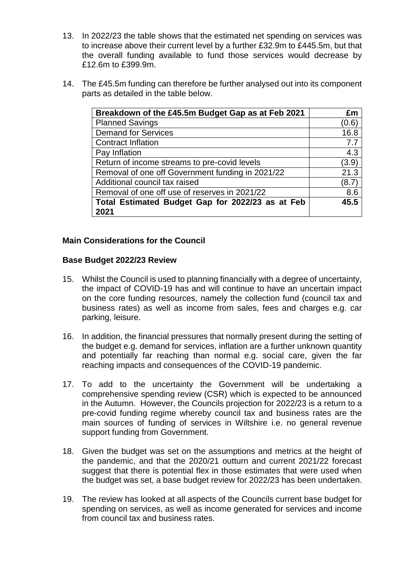- 13. In 2022/23 the table shows that the estimated net spending on services was to increase above their current level by a further £32.9m to £445.5m, but that the overall funding available to fund those services would decrease by £12.6m to £399.9m.
- 14. The £45.5m funding can therefore be further analysed out into its component parts as detailed in the table below.

| Breakdown of the £45.5m Budget Gap as at Feb 2021        | £m             |
|----------------------------------------------------------|----------------|
| <b>Planned Savings</b>                                   | (0.6)          |
| <b>Demand for Services</b>                               | 16.8           |
| <b>Contract Inflation</b>                                | 7.7            |
| Pay Inflation                                            | 4.3            |
| Return of income streams to pre-covid levels             | (3.9)          |
| Removal of one off Government funding in 2021/22         | 21.3           |
| Additional council tax raised                            | $^{\prime}8.7$ |
| Removal of one off use of reserves in 2021/22            | 8.6            |
| Total Estimated Budget Gap for 2022/23 as at Feb<br>2021 | 45.5           |
|                                                          |                |

### **Main Considerations for the Council**

### **Base Budget 2022/23 Review**

- 15. Whilst the Council is used to planning financially with a degree of uncertainty, the impact of COVID-19 has and will continue to have an uncertain impact on the core funding resources, namely the collection fund (council tax and business rates) as well as income from sales, fees and charges e.g. car parking, leisure.
- 16. In addition, the financial pressures that normally present during the setting of the budget e.g. demand for services, inflation are a further unknown quantity and potentially far reaching than normal e.g. social care, given the far reaching impacts and consequences of the COVID-19 pandemic.
- 17. To add to the uncertainty the Government will be undertaking a comprehensive spending review (CSR) which is expected to be announced in the Autumn. However, the Councils projection for 2022/23 is a return to a pre-covid funding regime whereby council tax and business rates are the main sources of funding of services in Wiltshire i.e. no general revenue support funding from Government.
- 18. Given the budget was set on the assumptions and metrics at the height of the pandemic, and that the 2020/21 outturn and current 2021/22 forecast suggest that there is potential flex in those estimates that were used when the budget was set, a base budget review for 2022/23 has been undertaken.
- 19. The review has looked at all aspects of the Councils current base budget for spending on services, as well as income generated for services and income from council tax and business rates.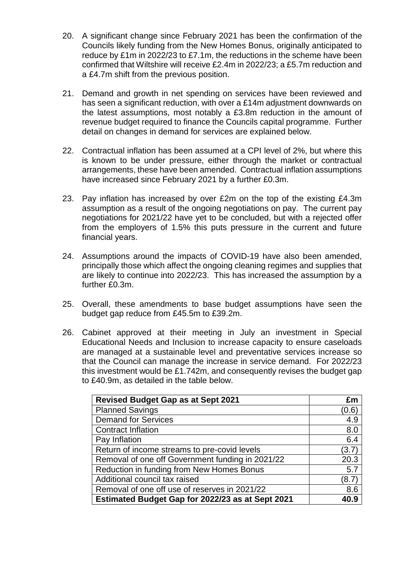- 20. A significant change since February 2021 has been the confirmation of the Councils likely funding from the New Homes Bonus, originally anticipated to reduce by £1m in 2022/23 to £7.1m, the reductions in the scheme have been confirmed that Wiltshire will receive £2.4m in 2022/23; a £5.7m reduction and a £4.7m shift from the previous position.
- 21. Demand and growth in net spending on services have been reviewed and has seen a significant reduction, with over a £14m adjustment downwards on the latest assumptions, most notably a £3.8m reduction in the amount of revenue budget required to finance the Councils capital programme. Further detail on changes in demand for services are explained below.
- 22. Contractual inflation has been assumed at a CPI level of 2%, but where this is known to be under pressure, either through the market or contractual arrangements, these have been amended. Contractual inflation assumptions have increased since February 2021 by a further £0.3m.
- 23. Pay inflation has increased by over £2m on the top of the existing £4.3m assumption as a result of the ongoing negotiations on pay. The current pay negotiations for 2021/22 have yet to be concluded, but with a rejected offer from the employers of 1.5% this puts pressure in the current and future financial years.
- 24. Assumptions around the impacts of COVID-19 have also been amended, principally those which affect the ongoing cleaning regimes and supplies that are likely to continue into 2022/23. This has increased the assumption by a further £0.3m.
- 25. Overall, these amendments to base budget assumptions have seen the budget gap reduce from £45.5m to £39.2m.
- 26. Cabinet approved at their meeting in July an investment in Special Educational Needs and Inclusion to increase capacity to ensure caseloads are managed at a sustainable level and preventative services increase so that the Council can manage the increase in service demand. For 2022/23 this investment would be £1.742m, and consequently revises the budget gap to £40.9m, as detailed in the table below.

| <b>Revised Budget Gap as at Sept 2021</b>        | £m    |
|--------------------------------------------------|-------|
| <b>Planned Savings</b>                           | (0.6) |
| <b>Demand for Services</b>                       | 4.9   |
| <b>Contract Inflation</b>                        | 8.0   |
| Pay Inflation                                    | 6.4   |
| Return of income streams to pre-covid levels     | (3.7) |
| Removal of one off Government funding in 2021/22 | 20.3  |
| Reduction in funding from New Homes Bonus        | 5.7   |
| Additional council tax raised                    | (8.7) |
| Removal of one off use of reserves in 2021/22    | 8.6   |
| Estimated Budget Gap for 2022/23 as at Sept 2021 | 40.9  |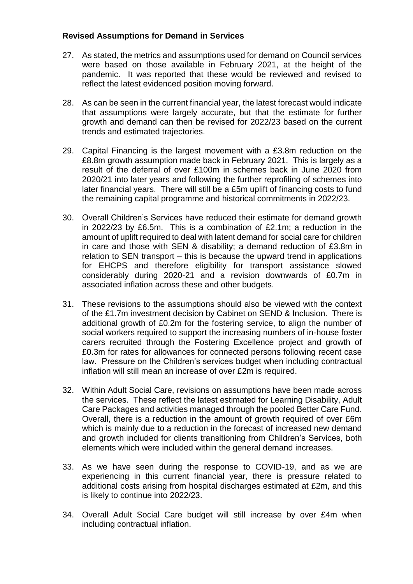# **Revised Assumptions for Demand in Services**

- 27. As stated, the metrics and assumptions used for demand on Council services were based on those available in February 2021, at the height of the pandemic. It was reported that these would be reviewed and revised to reflect the latest evidenced position moving forward.
- 28. As can be seen in the current financial year, the latest forecast would indicate that assumptions were largely accurate, but that the estimate for further growth and demand can then be revised for 2022/23 based on the current trends and estimated trajectories.
- 29. Capital Financing is the largest movement with a £3.8m reduction on the £8.8m growth assumption made back in February 2021. This is largely as a result of the deferral of over £100m in schemes back in June 2020 from 2020/21 into later years and following the further reprofiling of schemes into later financial years. There will still be a £5m uplift of financing costs to fund the remaining capital programme and historical commitments in 2022/23.
- 30. Overall Children's Services have reduced their estimate for demand growth in 2022/23 by £6.5m. This is a combination of £2.1m; a reduction in the amount of uplift required to deal with latent demand for social care for children in care and those with SEN & disability; a demand reduction of £3.8m in relation to SEN transport – this is because the upward trend in applications for EHCPS and therefore eligibility for transport assistance slowed considerably during 2020-21 and a revision downwards of £0.7m in associated inflation across these and other budgets.
- 31. These revisions to the assumptions should also be viewed with the context of the £1.7m investment decision by Cabinet on SEND & Inclusion. There is additional growth of £0.2m for the fostering service, to align the number of social workers required to support the increasing numbers of in-house foster carers recruited through the Fostering Excellence project and growth of £0.3m for rates for allowances for connected persons following recent case law. Pressure on the Children's services budget when including contractual inflation will still mean an increase of over £2m is required.
- 32. Within Adult Social Care, revisions on assumptions have been made across the services. These reflect the latest estimated for Learning Disability, Adult Care Packages and activities managed through the pooled Better Care Fund. Overall, there is a reduction in the amount of growth required of over £6m which is mainly due to a reduction in the forecast of increased new demand and growth included for clients transitioning from Children's Services, both elements which were included within the general demand increases.
- 33. As we have seen during the response to COVID-19, and as we are experiencing in this current financial year, there is pressure related to additional costs arising from hospital discharges estimated at £2m, and this is likely to continue into 2022/23.
- 34. Overall Adult Social Care budget will still increase by over £4m when including contractual inflation.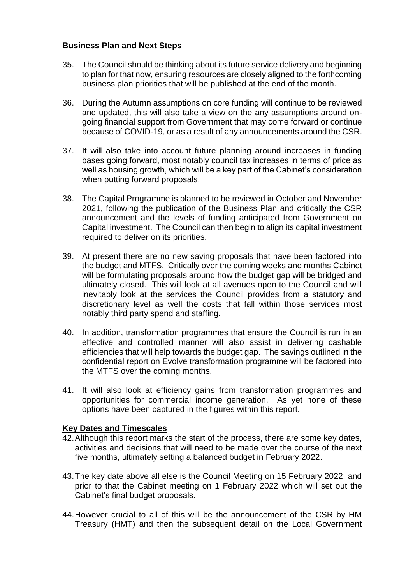# **Business Plan and Next Steps**

- 35. The Council should be thinking about its future service delivery and beginning to plan for that now, ensuring resources are closely aligned to the forthcoming business plan priorities that will be published at the end of the month.
- 36. During the Autumn assumptions on core funding will continue to be reviewed and updated, this will also take a view on the any assumptions around ongoing financial support from Government that may come forward or continue because of COVID-19, or as a result of any announcements around the CSR.
- 37. It will also take into account future planning around increases in funding bases going forward, most notably council tax increases in terms of price as well as housing growth, which will be a key part of the Cabinet's consideration when putting forward proposals.
- 38. The Capital Programme is planned to be reviewed in October and November 2021, following the publication of the Business Plan and critically the CSR announcement and the levels of funding anticipated from Government on Capital investment. The Council can then begin to align its capital investment required to deliver on its priorities.
- 39. At present there are no new saving proposals that have been factored into the budget and MTFS. Critically over the coming weeks and months Cabinet will be formulating proposals around how the budget gap will be bridged and ultimately closed. This will look at all avenues open to the Council and will inevitably look at the services the Council provides from a statutory and discretionary level as well the costs that fall within those services most notably third party spend and staffing.
- 40. In addition, transformation programmes that ensure the Council is run in an effective and controlled manner will also assist in delivering cashable efficiencies that will help towards the budget gap. The savings outlined in the confidential report on Evolve transformation programme will be factored into the MTFS over the coming months.
- 41. It will also look at efficiency gains from transformation programmes and opportunities for commercial income generation. As yet none of these options have been captured in the figures within this report.

### **Key Dates and Timescales**

- 42.Although this report marks the start of the process, there are some key dates, activities and decisions that will need to be made over the course of the next five months, ultimately setting a balanced budget in February 2022.
- 43.The key date above all else is the Council Meeting on 15 February 2022, and prior to that the Cabinet meeting on 1 February 2022 which will set out the Cabinet's final budget proposals.
- 44.However crucial to all of this will be the announcement of the CSR by HM Treasury (HMT) and then the subsequent detail on the Local Government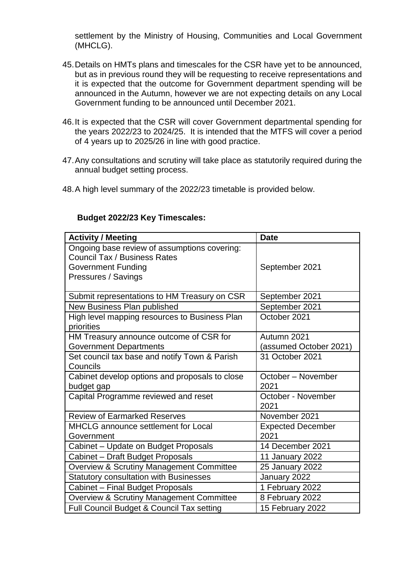settlement by the Ministry of Housing, Communities and Local Government (MHCLG).

- 45.Details on HMTs plans and timescales for the CSR have yet to be announced, but as in previous round they will be requesting to receive representations and it is expected that the outcome for Government department spending will be announced in the Autumn, however we are not expecting details on any Local Government funding to be announced until December 2021.
- 46.It is expected that the CSR will cover Government departmental spending for the years 2022/23 to 2024/25. It is intended that the MTFS will cover a period of 4 years up to 2025/26 in line with good practice.
- 47.Any consultations and scrutiny will take place as statutorily required during the annual budget setting process.
- 48.A high level summary of the 2022/23 timetable is provided below.

#### **Budget 2022/23 Key Timescales:**

| <b>Activity / Meeting</b>                                                                                                               | <b>Date</b>                           |  |
|-----------------------------------------------------------------------------------------------------------------------------------------|---------------------------------------|--|
| Ongoing base review of assumptions covering:<br><b>Council Tax / Business Rates</b><br><b>Government Funding</b><br>Pressures / Savings | September 2021                        |  |
| Submit representations to HM Treasury on CSR                                                                                            | September 2021                        |  |
| New Business Plan published                                                                                                             | September 2021                        |  |
| High level mapping resources to Business Plan<br>priorities                                                                             | October 2021                          |  |
| HM Treasury announce outcome of CSR for<br><b>Government Departments</b>                                                                | Autumn 2021<br>(assumed October 2021) |  |
| Set council tax base and notify Town & Parish<br>Councils                                                                               | 31 October 2021                       |  |
| Cabinet develop options and proposals to close<br>budget gap                                                                            | October - November<br>2021            |  |
| Capital Programme reviewed and reset                                                                                                    | October - November<br>2021            |  |
| <b>Review of Earmarked Reserves</b>                                                                                                     | November 2021                         |  |
| MHCLG announce settlement for Local<br>Government                                                                                       | <b>Expected December</b><br>2021      |  |
| Cabinet - Update on Budget Proposals                                                                                                    | 14 December 2021                      |  |
| Cabinet - Draft Budget Proposals                                                                                                        | 11 January 2022                       |  |
| <b>Overview &amp; Scrutiny Management Committee</b>                                                                                     | 25 January 2022                       |  |
| <b>Statutory consultation with Businesses</b>                                                                                           | January 2022                          |  |
| Cabinet - Final Budget Proposals                                                                                                        | 1 February 2022                       |  |
| <b>Overview &amp; Scrutiny Management Committee</b>                                                                                     | 8 February 2022                       |  |
| Full Council Budget & Council Tax setting                                                                                               | 15 February 2022                      |  |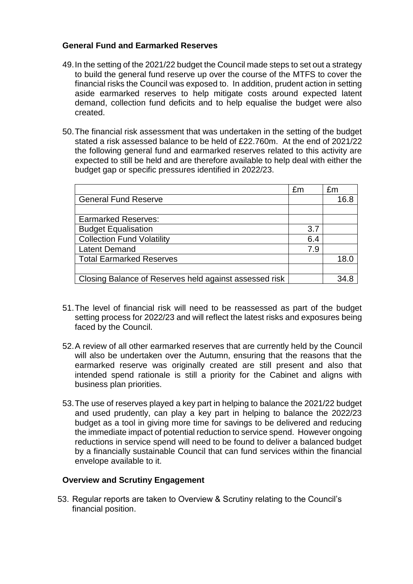# **General Fund and Earmarked Reserves**

- 49.In the setting of the 2021/22 budget the Council made steps to set out a strategy to build the general fund reserve up over the course of the MTFS to cover the financial risks the Council was exposed to. In addition, prudent action in setting aside earmarked reserves to help mitigate costs around expected latent demand, collection fund deficits and to help equalise the budget were also created.
- 50.The financial risk assessment that was undertaken in the setting of the budget stated a risk assessed balance to be held of £22.760m. At the end of 2021/22 the following general fund and earmarked reserves related to this activity are expected to still be held and are therefore available to help deal with either the budget gap or specific pressures identified in 2022/23.

| £m  | £m              |
|-----|-----------------|
|     | 16.8            |
|     |                 |
|     |                 |
| 3.7 |                 |
| 6.4 |                 |
| 7.9 |                 |
|     | 18 <sub>1</sub> |
|     |                 |
|     |                 |
|     |                 |

- 51.The level of financial risk will need to be reassessed as part of the budget setting process for 2022/23 and will reflect the latest risks and exposures being faced by the Council.
- 52.A review of all other earmarked reserves that are currently held by the Council will also be undertaken over the Autumn, ensuring that the reasons that the earmarked reserve was originally created are still present and also that intended spend rationale is still a priority for the Cabinet and aligns with business plan priorities.
- 53.The use of reserves played a key part in helping to balance the 2021/22 budget and used prudently, can play a key part in helping to balance the 2022/23 budget as a tool in giving more time for savings to be delivered and reducing the immediate impact of potential reduction to service spend. However ongoing reductions in service spend will need to be found to deliver a balanced budget by a financially sustainable Council that can fund services within the financial envelope available to it.

### **Overview and Scrutiny Engagement**

53. Regular reports are taken to Overview & Scrutiny relating to the Council's financial position.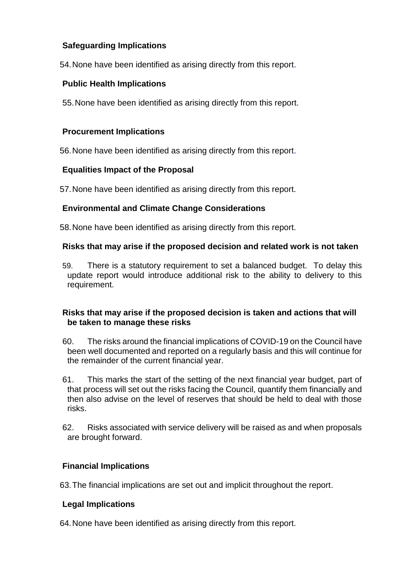# **Safeguarding Implications**

54.None have been identified as arising directly from this report.

# **Public Health Implications**

55.None have been identified as arising directly from this report.

# **Procurement Implications**

56.None have been identified as arising directly from this report.

# **Equalities Impact of the Proposal**

57.None have been identified as arising directly from this report.

# **Environmental and Climate Change Considerations**

58.None have been identified as arising directly from this report.

### **Risks that may arise if the proposed decision and related work is not taken**

59. There is a statutory requirement to set a balanced budget. To delay this update report would introduce additional risk to the ability to delivery to this requirement.

# **Risks that may arise if the proposed decision is taken and actions that will be taken to manage these risks**

- 60. The risks around the financial implications of COVID-19 on the Council have been well documented and reported on a regularly basis and this will continue for the remainder of the current financial year.
- 61. This marks the start of the setting of the next financial year budget, part of that process will set out the risks facing the Council, quantify them financially and then also advise on the level of reserves that should be held to deal with those risks.
- 62. Risks associated with service delivery will be raised as and when proposals are brought forward.

# **Financial Implications**

63.The financial implications are set out and implicit throughout the report.

# **Legal Implications**

64.None have been identified as arising directly from this report.